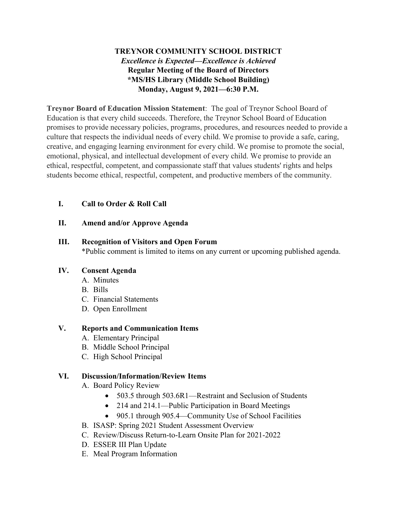# **TREYNOR COMMUNITY SCHOOL DISTRICT** *Excellence is Expected—Excellence is Achieved* **Regular Meeting of the Board of Directors \*MS/HS Library (Middle School Building) Monday, August 9, 2021—6:30 P.M.**

**Treynor Board of Education Mission Statement**: The goal of Treynor School Board of Education is that every child succeeds. Therefore, the Treynor School Board of Education promises to provide necessary policies, programs, procedures, and resources needed to provide a culture that respects the individual needs of every child. We promise to provide a safe, caring, creative, and engaging learning environment for every child. We promise to promote the social, emotional, physical, and intellectual development of every child. We promise to provide an ethical, respectful, competent, and compassionate staff that values students' rights and helps students become ethical, respectful, competent, and productive members of the community.

## **I. Call to Order & Roll Call**

### **II. Amend and/or Approve Agenda**

#### **III. Recognition of Visitors and Open Forum**

\*Public comment is limited to items on any current or upcoming published agenda.

#### **IV. Consent Agenda**

- A. Minutes
- B. Bills
- C. Financial Statements
- D. Open Enrollment

#### **V. Reports and Communication Items**

- A. Elementary Principal
- B. Middle School Principal
- C. High School Principal

## **VI. Discussion/Information/Review Items**

- A. Board Policy Review
	- 503.5 through 503.6R1—Restraint and Seclusion of Students
	- 214 and 214.1—Public Participation in Board Meetings
	- 905.1 through 905.4—Community Use of School Facilities
- B. ISASP: Spring 2021 Student Assessment Overview
- C. Review/Discuss Return-to-Learn Onsite Plan for 2021-2022
- D. ESSER III Plan Update
- E. Meal Program Information